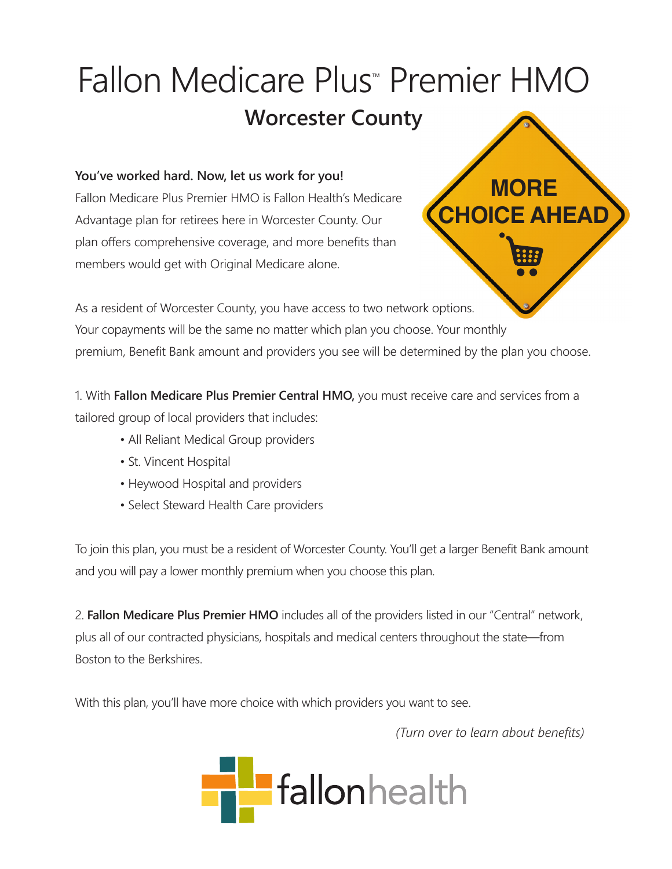## Fallon Medicare Plus<sup>™</sup> Premier HMO **Worcester County**

## **You've worked hard. Now, let us work for you!**

Fallon Medicare Plus Premier HMO is Fallon Health's Medicare Advantage plan for retirees here in Worcester County. Our plan offers comprehensive coverage, and more benefits than members would get with Original Medicare alone.



As a resident of Worcester County, you have access to two network options. Your copayments will be the same no matter which plan you choose. Your monthly premium, Benefit Bank amount and providers you see will be determined by the plan you choose.

1. With **Fallon Medicare Plus Premier Central HMO,** you must receive care and services from a tailored group of local providers that includes:

- All Reliant Medical Group providers
- St. Vincent Hospital
- Heywood Hospital and providers
- Select Steward Health Care providers

To join this plan, you must be a resident of Worcester County. You'll get a larger Benefit Bank amount and you will pay a lower monthly premium when you choose this plan.

2. **Fallon Medicare Plus Premier HMO** includes all of the providers listed in our "Central" network, plus all of our contracted physicians, hospitals and medical centers throughout the state—from Boston to the Berkshires.

With this plan, you'll have more choice with which providers you want to see.

*(Turn over to learn about benefits)*